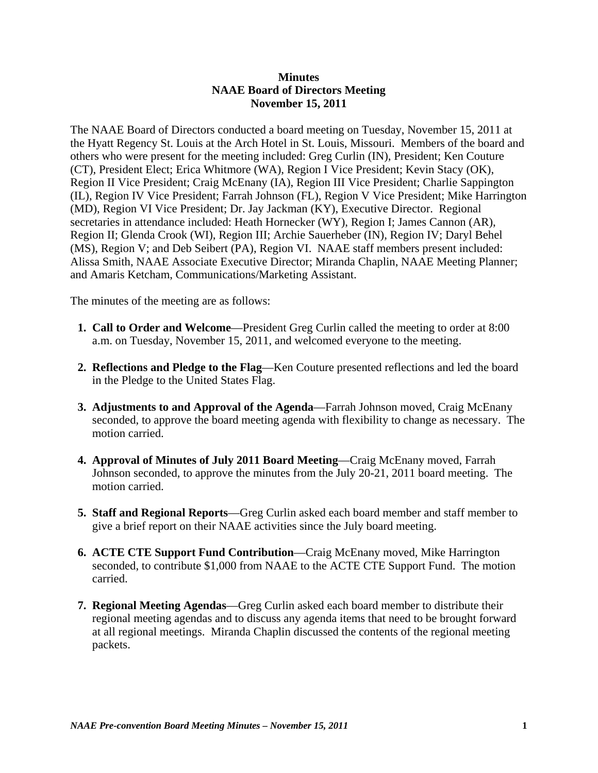## **Minutes NAAE Board of Directors Meeting November 15, 2011**

The NAAE Board of Directors conducted a board meeting on Tuesday, November 15, 2011 at the Hyatt Regency St. Louis at the Arch Hotel in St. Louis, Missouri. Members of the board and others who were present for the meeting included: Greg Curlin (IN), President; Ken Couture (CT), President Elect; Erica Whitmore (WA), Region I Vice President; Kevin Stacy (OK), Region II Vice President; Craig McEnany (IA), Region III Vice President; Charlie Sappington (IL), Region IV Vice President; Farrah Johnson (FL), Region V Vice President; Mike Harrington (MD), Region VI Vice President; Dr. Jay Jackman (KY), Executive Director. Regional secretaries in attendance included: Heath Hornecker (WY), Region I; James Cannon (AR), Region II; Glenda Crook (WI), Region III; Archie Sauerheber (IN), Region IV; Daryl Behel (MS), Region V; and Deb Seibert (PA), Region VI. NAAE staff members present included: Alissa Smith, NAAE Associate Executive Director; Miranda Chaplin, NAAE Meeting Planner; and Amaris Ketcham, Communications/Marketing Assistant.

The minutes of the meeting are as follows:

- **1. Call to Order and Welcome**—President Greg Curlin called the meeting to order at 8:00 a.m. on Tuesday, November 15, 2011, and welcomed everyone to the meeting.
- **2. Reflections and Pledge to the Flag**—Ken Couture presented reflections and led the board in the Pledge to the United States Flag.
- **3. Adjustments to and Approval of the Agenda**—Farrah Johnson moved, Craig McEnany seconded, to approve the board meeting agenda with flexibility to change as necessary. The motion carried.
- **4. Approval of Minutes of July 2011 Board Meeting**—Craig McEnany moved, Farrah Johnson seconded, to approve the minutes from the July 20-21, 2011 board meeting. The motion carried.
- **5. Staff and Regional Reports**—Greg Curlin asked each board member and staff member to give a brief report on their NAAE activities since the July board meeting.
- **6. ACTE CTE Support Fund Contribution**—Craig McEnany moved, Mike Harrington seconded, to contribute \$1,000 from NAAE to the ACTE CTE Support Fund. The motion carried.
- **7. Regional Meeting Agendas**—Greg Curlin asked each board member to distribute their regional meeting agendas and to discuss any agenda items that need to be brought forward at all regional meetings. Miranda Chaplin discussed the contents of the regional meeting packets.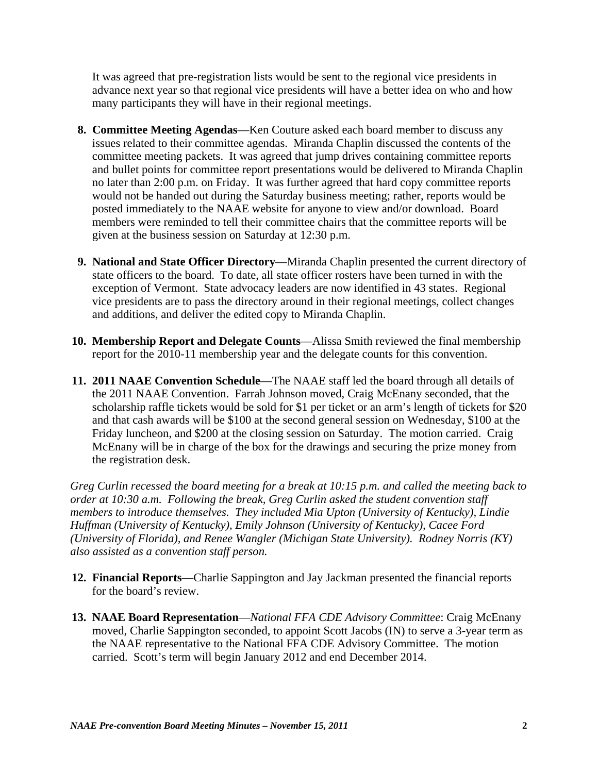It was agreed that pre-registration lists would be sent to the regional vice presidents in advance next year so that regional vice presidents will have a better idea on who and how many participants they will have in their regional meetings.

- **8. Committee Meeting Agendas—Ken Couture asked each board member to discuss any** issues related to their committee agendas. Miranda Chaplin discussed the contents of the committee meeting packets. It was agreed that jump drives containing committee reports and bullet points for committee report presentations would be delivered to Miranda Chaplin no later than 2:00 p.m. on Friday. It was further agreed that hard copy committee reports would not be handed out during the Saturday business meeting; rather, reports would be posted immediately to the NAAE website for anyone to view and/or download. Board members were reminded to tell their committee chairs that the committee reports will be given at the business session on Saturday at 12:30 p.m.
- **9. National and State Officer Directory**—Miranda Chaplin presented the current directory of state officers to the board. To date, all state officer rosters have been turned in with the exception of Vermont. State advocacy leaders are now identified in 43 states. Regional vice presidents are to pass the directory around in their regional meetings, collect changes and additions, and deliver the edited copy to Miranda Chaplin.
- **10. Membership Report and Delegate Counts**—Alissa Smith reviewed the final membership report for the 2010-11 membership year and the delegate counts for this convention.
- **11. 2011 NAAE Convention Schedule**—The NAAE staff led the board through all details of the 2011 NAAE Convention. Farrah Johnson moved, Craig McEnany seconded, that the scholarship raffle tickets would be sold for \$1 per ticket or an arm's length of tickets for \$20 and that cash awards will be \$100 at the second general session on Wednesday, \$100 at the Friday luncheon, and \$200 at the closing session on Saturday. The motion carried. Craig McEnany will be in charge of the box for the drawings and securing the prize money from the registration desk.

*Greg Curlin recessed the board meeting for a break at 10:15 p.m. and called the meeting back to order at 10:30 a.m. Following the break, Greg Curlin asked the student convention staff members to introduce themselves. They included Mia Upton (University of Kentucky), Lindie Huffman (University of Kentucky), Emily Johnson (University of Kentucky), Cacee Ford (University of Florida), and Renee Wangler (Michigan State University). Rodney Norris (KY) also assisted as a convention staff person.* 

- **12. Financial Reports**—Charlie Sappington and Jay Jackman presented the financial reports for the board's review.
- **13. NAAE Board Representation**—*National FFA CDE Advisory Committee*: Craig McEnany moved, Charlie Sappington seconded, to appoint Scott Jacobs (IN) to serve a 3-year term as the NAAE representative to the National FFA CDE Advisory Committee. The motion carried. Scott's term will begin January 2012 and end December 2014.